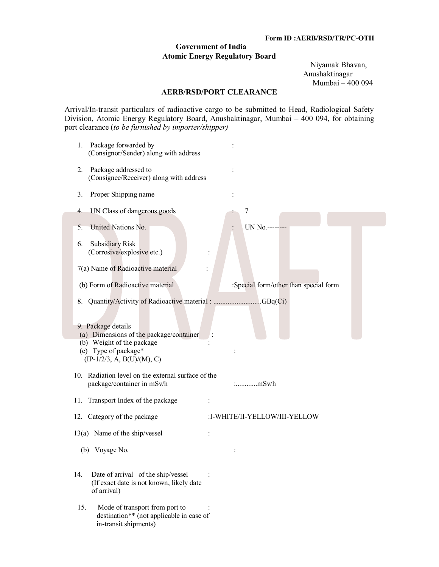## **Government of India Atomic Energy Regulatory Board**

 Niyamak Bhavan, Anushaktinagar Mumbai – 400 094

## **AERB/RSD/PORT CLEARANCE**

Arrival/In-transit particulars of radioactive cargo to be submitted to Head, Radiological Safety Division, Atomic Energy Regulatory Board, Anushaktinagar, Mumbai – 400 094, for obtaining port clearance (*to be furnished by importer/shipper)*

| Package forwarded by<br>1.<br>(Consignor/Sender) along with address                                                                                |                                       |
|----------------------------------------------------------------------------------------------------------------------------------------------------|---------------------------------------|
| Package addressed to<br>2.<br>(Consignee/Receiver) along with address                                                                              |                                       |
| Proper Shipping name<br>3.                                                                                                                         |                                       |
| UN Class of dangerous goods<br>4.                                                                                                                  | 7                                     |
| United Nations No.<br>5.                                                                                                                           | UN No .------                         |
| <b>Subsidiary Risk</b><br>6.<br>(Corrosive/explosive etc.)                                                                                         |                                       |
| 7(a) Name of Radioactive material                                                                                                                  |                                       |
| (b) Form of Radioactive material                                                                                                                   | :Special form/other than special form |
| Quantity/Activity of Radioactive material : GBq(Ci)<br>8.                                                                                          |                                       |
| 9. Package details<br>(a) Dimensions of the package/container<br>(b) Weight of the package<br>(c) Type of package*<br>$(IP-1/2/3, A, B(U)/(M), C)$ |                                       |
| 10. Radiation level on the external surface of the<br>package/container in mSv/h                                                                   |                                       |
| 11. Transport Index of the package                                                                                                                 |                                       |
| 12. Category of the package                                                                                                                        | :I-WHITE/II-YELLOW/III-YELLOW         |
| 13(a) Name of the ship/vessel                                                                                                                      |                                       |
| Voyage No.<br>(b)                                                                                                                                  |                                       |
| Date of arrival of the ship/vessel<br>14.<br>(If exact date is not known, likely date<br>of arrival)                                               |                                       |
| 15.<br>Mode of transport from port to<br>destination** (not applicable in case of<br>in-transit shipments)                                         |                                       |